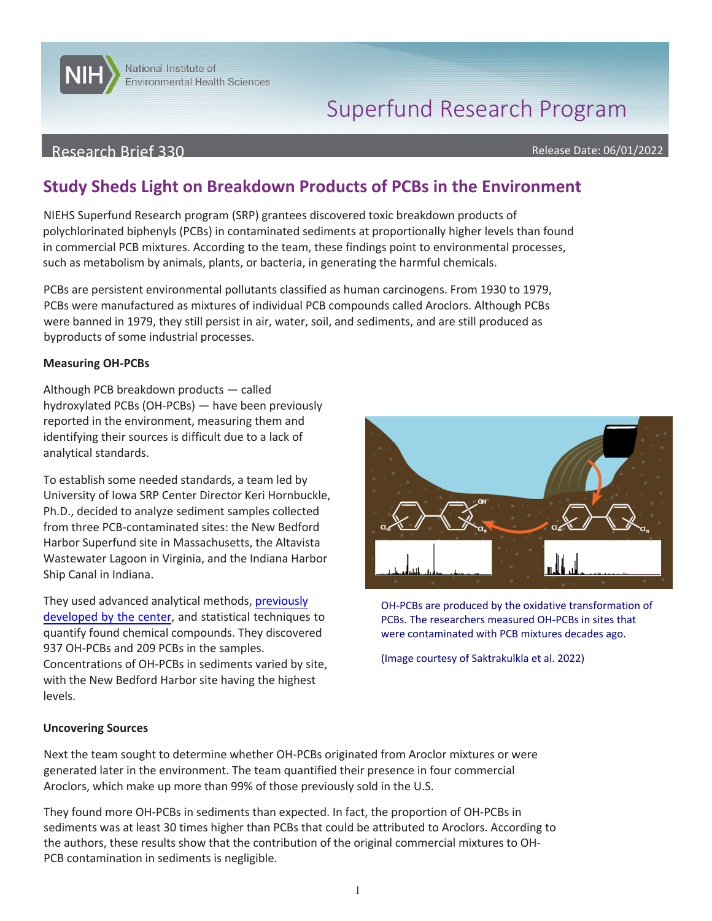# Superfund Research Program

## Research Brief 330

**NITELY** National Institute of

Environmental Health Sciences

Release Date: 06/01/2022

# **Study Sheds Light on Breakdown Products of PCBs in the Environment**

NIEHS Superfund Research program (SRP) grantees discovered toxic breakdown products of polychlorinated biphenyls (PCBs) in contaminated sediments at proportionally higher levels than found in commercial PCB mixtures. According to the team, these findings point to environmental processes, such as metabolism by animals, plants, or bacteria, in generating the harmful chemicals.

 were banned in 1979, they still persist in air, water, soil, and sediments, and are still produced as PCBs are persistent environmental pollutants classified as human carcinogens. From 1930 to 1979, PCBs were manufactured as mixtures of individual PCB compounds called Aroclors. Although PCBs byproducts of some industrial processes.

#### **Measuring OH-PCBs**

 identifying their sources is difficult due to a lack of Although PCB breakdown products — called hydroxylated PCBs (OH-PCBs) — have been previously reported in the environment, measuring them and analytical standards.

To establish some needed standards, a team led by University of Iowa SRP Center Director Keri Hornbuckle, Ph.D., decided to analyze sediment samples collected from three PCB-contaminated sites: the New Bedford Harbor Superfund site in Massachusetts, the Altavista Wastewater Lagoon in Virginia, and the Indiana Harbor Ship Canal in Indiana.

**Graphene**  Concentrations of OH-PCBs in sediments varied by site, **Cylinder**  with the New Bedford Harbor site having the highest **Passive School** of the Sample School  $\mathop{\mathrm{to}}$ They used advanced analytical methods, [previously](https://www.ncbi.nlm.nih.gov/pmc/articles/PMC6986979/) [developed by the center,](https://www.ncbi.nlm.nih.gov/pmc/articles/PMC6986979/) and statistical techniques to quantify found chemical compounds. They discovered 937 OH-PCBs and 209 PCBs in the samples. levels.



were contaminated with PCB mixtures decades ago. OH-PCBs are produced by the oxidative transformation of PCBs. The researchers measured OH-PCBs in sites that

(Image of (Image courtesy of Saktrakulkla et al. 2022)

#### **Uncovering Sources**

Next the team sought to determine whether OH-PCBs originated from Aroclor mixtures or were generated later in the environment. The team quantified their presence in four commercial Aroclors, which make up more than 99% of those previously sold in the U.S.

They found more OH-PCBs in sediments than expected. In fact, the proportion of OH-PCBs in sediments was at least 30 times higher than PCBs that could be attributed to Aroclors. According to the authors, these results show that the contribution of the original commercial mixtures to OH-PCB contamination in sediments is negligible.